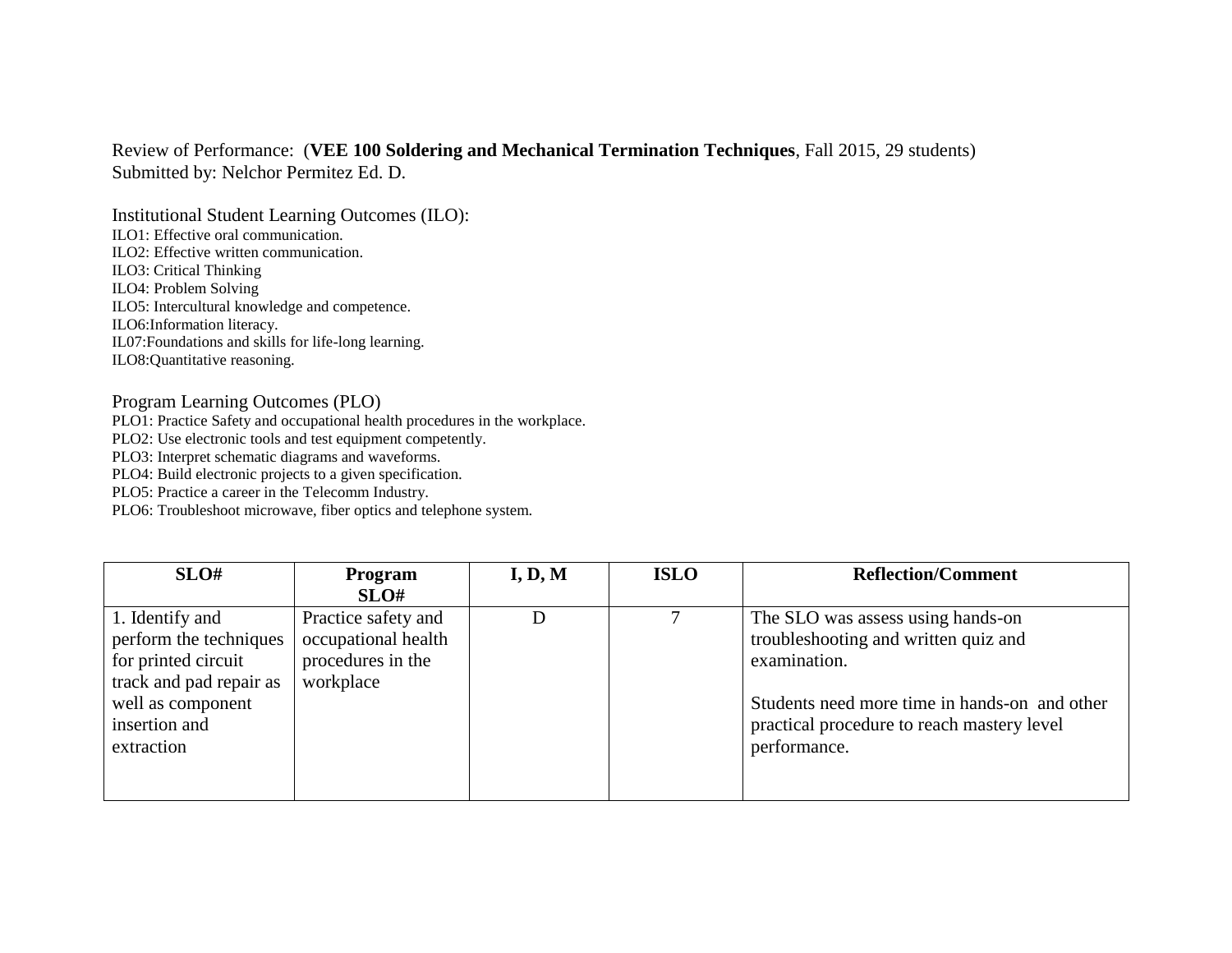## Review of Performance: (**VEE 100 Soldering and Mechanical Termination Techniques**, Fall 2015, 29 students) Submitted by: Nelchor Permitez Ed. D.

Institutional Student Learning Outcomes (ILO): ILO1: Effective oral communication. ILO2: Effective written communication. ILO3: Critical Thinking ILO4: Problem Solving ILO5: Intercultural knowledge and competence. ILO6:Information literacy. IL07:Foundations and skills for life-long learning. ILO8:Quantitative reasoning.

## Program Learning Outcomes (PLO)

PLO1: Practice Safety and occupational health procedures in the workplace.

PLO2: Use electronic tools and test equipment competently.

PLO3: Interpret schematic diagrams and waveforms.

PLO4: Build electronic projects to a given specification.

PLO5: Practice a career in the Telecomm Industry.

PLO6: Troubleshoot microwave, fiber optics and telephone system.

| SLO#                    | <b>Program</b>      | I, D, M | <b>ISLO</b> | <b>Reflection/Comment</b>                     |
|-------------------------|---------------------|---------|-------------|-----------------------------------------------|
|                         | SLO#                |         |             |                                               |
| 1. Identify and         | Practice safety and |         |             | The SLO was assess using hands-on             |
| perform the techniques  | occupational health |         |             | troubleshooting and written quiz and          |
| for printed circuit     | procedures in the   |         |             | examination.                                  |
| track and pad repair as | workplace           |         |             |                                               |
| well as component       |                     |         |             | Students need more time in hands-on and other |
| insertion and           |                     |         |             | practical procedure to reach mastery level    |
| extraction              |                     |         |             | performance.                                  |
|                         |                     |         |             |                                               |
|                         |                     |         |             |                                               |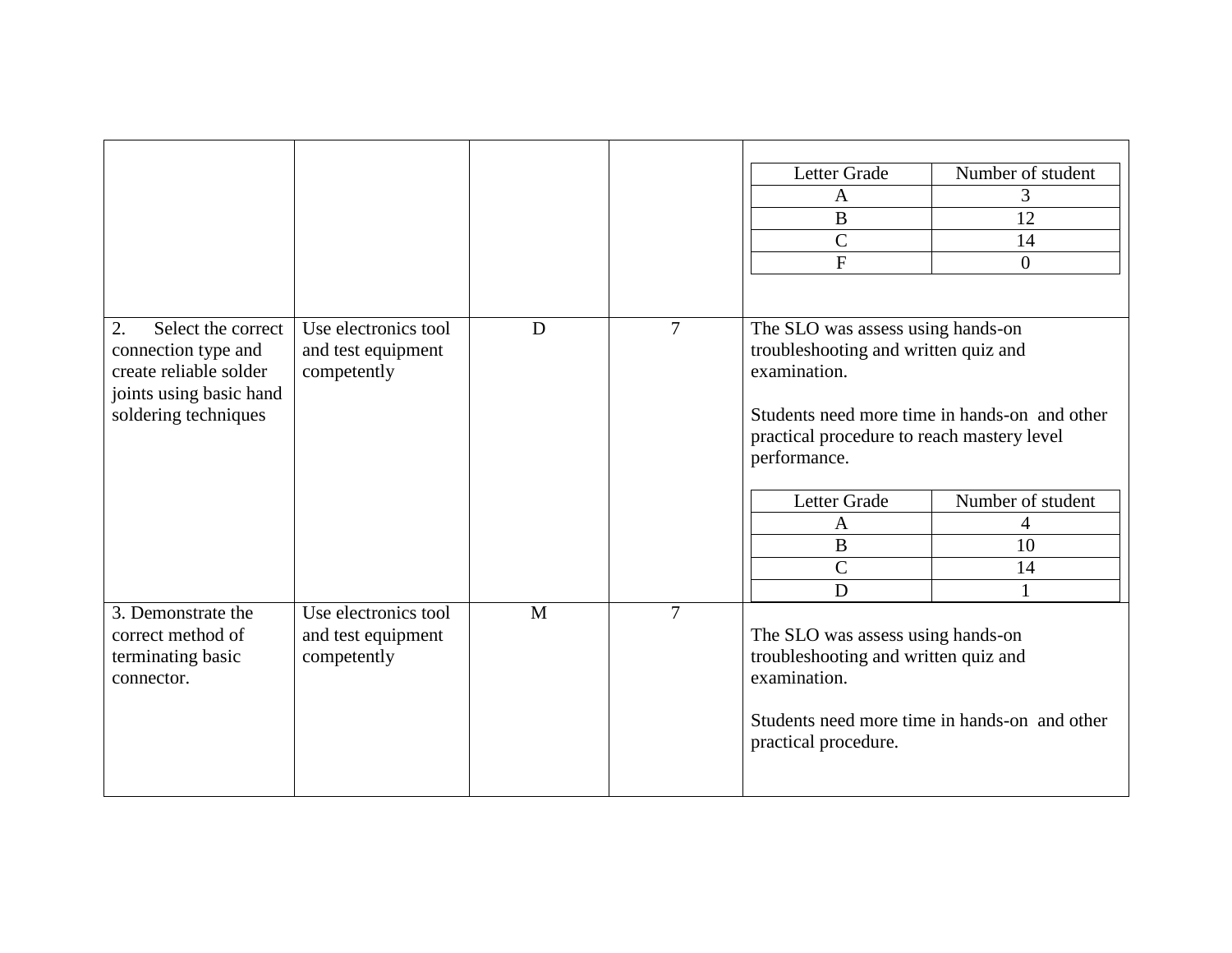|                          |                      |   |                | Letter Grade                                  | Number of student |  |
|--------------------------|----------------------|---|----------------|-----------------------------------------------|-------------------|--|
|                          |                      |   |                | A                                             | 3                 |  |
|                          |                      |   |                | $\bf{B}$                                      | 12                |  |
|                          |                      |   |                | $\overline{C}$                                | 14                |  |
|                          |                      |   |                | ${\bf F}$                                     | $\boldsymbol{0}$  |  |
|                          |                      |   |                |                                               |                   |  |
| 2.<br>Select the correct | Use electronics tool | D | $\overline{7}$ | The SLO was assess using hands-on             |                   |  |
| connection type and      | and test equipment   |   |                | troubleshooting and written quiz and          |                   |  |
| create reliable solder   | competently          |   |                | examination.                                  |                   |  |
| joints using basic hand  |                      |   |                |                                               |                   |  |
| soldering techniques     |                      |   |                | Students need more time in hands-on and other |                   |  |
|                          |                      |   |                | practical procedure to reach mastery level    |                   |  |
|                          |                      |   |                | performance.                                  |                   |  |
|                          |                      |   |                |                                               |                   |  |
|                          |                      |   |                | Letter Grade                                  | Number of student |  |
|                          |                      |   |                | A                                             | 4                 |  |
|                          |                      |   |                | B                                             | 10                |  |
|                          |                      |   |                | $\mathsf{C}$                                  | 14                |  |
|                          |                      |   |                | D                                             | 1                 |  |
| 3. Demonstrate the       | Use electronics tool | M | $\overline{7}$ |                                               |                   |  |
| correct method of        | and test equipment   |   |                | The SLO was assess using hands-on             |                   |  |
| terminating basic        | competently          |   |                | troubleshooting and written quiz and          |                   |  |
| connector.               |                      |   |                | examination.                                  |                   |  |
|                          |                      |   |                |                                               |                   |  |
|                          |                      |   |                | Students need more time in hands-on and other |                   |  |
|                          |                      |   |                | practical procedure.                          |                   |  |
|                          |                      |   |                |                                               |                   |  |
|                          |                      |   |                |                                               |                   |  |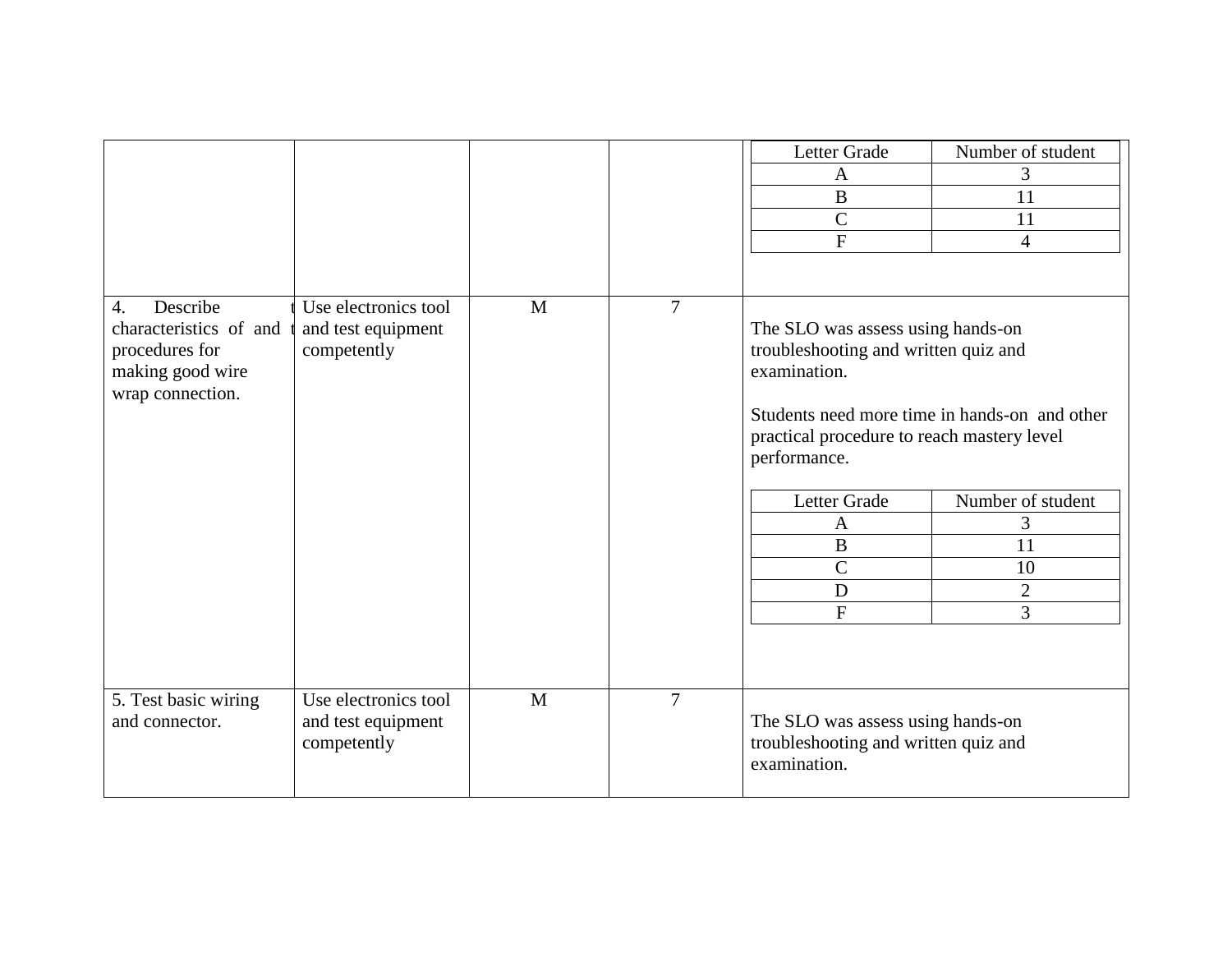|                                                                                                                  |                                                           |              |                | Letter Grade<br>$\mathbf{A}$<br>$\bf{B}$<br>$\mathcal{C}$<br>$\mathbf{F}$                                                                                                                                                                                                                                                                       | Number of student<br>3<br>11<br>11<br>$\overline{4}$ |
|------------------------------------------------------------------------------------------------------------------|-----------------------------------------------------------|--------------|----------------|-------------------------------------------------------------------------------------------------------------------------------------------------------------------------------------------------------------------------------------------------------------------------------------------------------------------------------------------------|------------------------------------------------------|
| Describe<br>$\overline{4}$ .<br>characteristics of and<br>procedures for<br>making good wire<br>wrap connection. | Use electronics tool<br>and test equipment<br>competently | $\mathbf{M}$ | $\overline{7}$ | The SLO was assess using hands-on<br>troubleshooting and written quiz and<br>examination.<br>Students need more time in hands-on and other<br>practical procedure to reach mastery level<br>performance.<br>Letter Grade<br>Number of student<br>3<br>A<br>$\bf{B}$<br>11<br>$\overline{C}$<br>10<br>D<br>$\overline{2}$<br>$\overline{F}$<br>3 |                                                      |
| 5. Test basic wiring<br>and connector.                                                                           | Use electronics tool<br>and test equipment<br>competently | M            | $\overline{7}$ | The SLO was assess using hands-on<br>troubleshooting and written quiz and<br>examination.                                                                                                                                                                                                                                                       |                                                      |